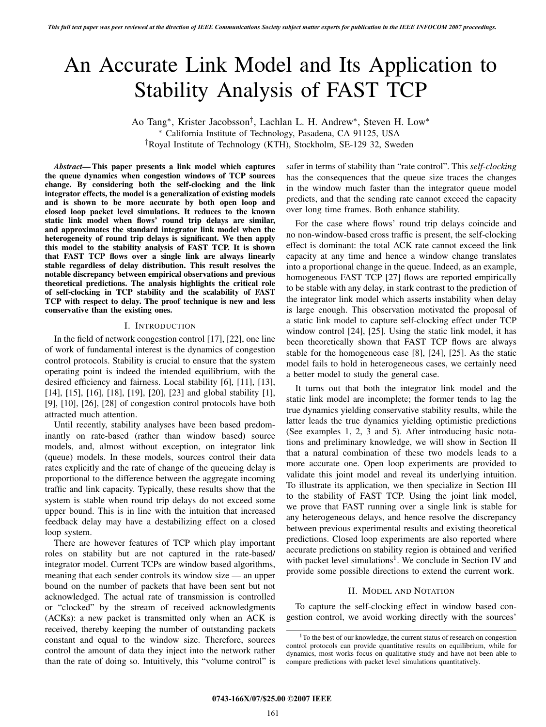# An Accurate Link Model and Its Application to Stability Analysis of FAST TCP

Ao Tang∗, Krister Jacobsson†, Lachlan L. H. Andrew∗, Steven H. Low∗ ∗ California Institute of Technology, Pasadena, CA 91125, USA †Royal Institute of Technology (KTH), Stockholm, SE-129 32, Sweden

*Abstract***— This paper presents a link model which captures the queue dynamics when congestion windows of TCP sources change. By considering both the self-clocking and the link integrator effects, the model is a generalization of existing models and is shown to be more accurate by both open loop and closed loop packet level simulations. It reduces to the known static link model when flows' round trip delays are similar, and approximates the standard integrator link model when the heterogeneity of round trip delays is significant. We then apply this model to the stability analysis of FAST TCP. It is shown that FAST TCP flows over a single link are always linearly stable regardless of delay distribution. This result resolves the notable discrepancy between empirical observations and previous theoretical predictions. The analysis highlights the critical role of self-clocking in TCP stability and the scalability of FAST TCP with respect to delay. The proof technique is new and less conservative than the existing ones.**

## I. INTRODUCTION

In the field of network congestion control [17], [22], one line of work of fundamental interest is the dynamics of congestion control protocols. Stability is crucial to ensure that the system operating point is indeed the intended equilibrium, with the desired efficiency and fairness. Local stability [6], [11], [13], [14], [15], [16], [18], [19], [20], [23] and global stability [1], [9], [10], [26], [28] of congestion control protocols have both attracted much attention.

Until recently, stability analyses have been based predominantly on rate-based (rather than window based) source models, and, almost without exception, on integrator link (queue) models. In these models, sources control their data rates explicitly and the rate of change of the queueing delay is proportional to the difference between the aggregate incoming traffic and link capacity. Typically, these results show that the system is stable when round trip delays do not exceed some upper bound. This is in line with the intuition that increased feedback delay may have a destabilizing effect on a closed loop system.

There are however features of TCP which play important roles on stability but are not captured in the rate-based/ integrator model. Current TCPs are window based algorithms, meaning that each sender controls its window size — an upper bound on the number of packets that have been sent but not acknowledged. The actual rate of transmission is controlled or "clocked" by the stream of received acknowledgments (ACKs): a new packet is transmitted only when an ACK is received, thereby keeping the number of outstanding packets constant and equal to the window size. Therefore, sources control the amount of data they inject into the network rather than the rate of doing so. Intuitively, this "volume control" is safer in terms of stability than "rate control". This *self-clocking* has the consequences that the queue size traces the changes in the window much faster than the integrator queue model predicts, and that the sending rate cannot exceed the capacity over long time frames. Both enhance stability.

For the case where flows' round trip delays coincide and no non-window-based cross traffic is present, the self-clocking effect is dominant: the total ACK rate cannot exceed the link capacity at any time and hence a window change translates into a proportional change in the queue. Indeed, as an example, homogeneous FAST TCP [27] flows are reported empirically to be stable with any delay, in stark contrast to the prediction of the integrator link model which asserts instability when delay is large enough. This observation motivated the proposal of a static link model to capture self-clocking effect under TCP window control [24], [25]. Using the static link model, it has been theoretically shown that FAST TCP flows are always stable for the homogeneous case [8], [24], [25]. As the static model fails to hold in heterogeneous cases, we certainly need a better model to study the general case.

It turns out that both the integrator link model and the static link model are incomplete; the former tends to lag the true dynamics yielding conservative stability results, while the latter leads the true dynamics yielding optimistic predictions (See examples 1, 2, 3 and 5). After introducing basic notations and preliminary knowledge, we will show in Section II that a natural combination of these two models leads to a more accurate one. Open loop experiments are provided to validate this joint model and reveal its underlying intuition. To illustrate its application, we then specialize in Section III to the stability of FAST TCP. Using the joint link model, we prove that FAST running over a single link is stable for any heterogeneous delays, and hence resolve the discrepancy between previous experimental results and existing theoretical predictions. Closed loop experiments are also reported where accurate predictions on stability region is obtained and verified with packet level simulations<sup>1</sup>. We conclude in Section IV and provide some possible directions to extend the current work.

# II. MODEL AND NOTATION

To capture the self-clocking effect in window based congestion control, we avoid working directly with the sources'

<sup>&</sup>lt;sup>1</sup>To the best of our knowledge, the current status of research on congestion control protocols can provide quantitative results on equilibrium, while for dynamics, most works focus on qualitative study and have not been able to compare predictions with packet level simulations quantitatively.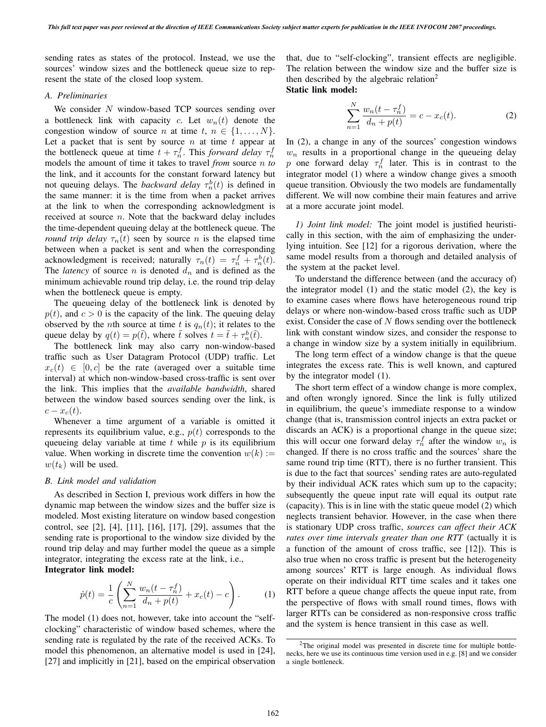sending rates as states of the protocol. Instead, we use the sources' window sizes and the bottleneck queue size to represent the state of the closed loop system.

# *A. Preliminaries*

We consider N window-based TCP sources sending over a bottleneck link with capacity c. Let  $w_n(t)$  denote the congestion window of source *n* at time  $t, n \in \{1, \ldots, N\}.$ Let a packet that is sent by source  $n$  at time  $t$  appear at the bottleneck queue at time  $t + \tau_n^f$ . This *forward delay*  $\tau_n^f$ <br>models the amount of time it takes to travel *from* source *n* to models the amount of time it takes to travel *from* source n *to* the link, and it accounts for the constant forward latency but not queuing delays. The *backward delay*  $\tau_n^b(t)$  is defined in the same manner; it is the time from when a packet arrives the same manner: it is the time from when a packet arrives at the link to when the corresponding acknowledgment is received at source  $n$ . Note that the backward delay includes the time-dependent queuing delay at the bottleneck queue. The *round trip delay*  $\tau_n(t)$  seen by source *n* is the elapsed time between when a packet is sent and when the corresponding acknowledgment is received; naturally  $\tau_n(t) = \tau_n^f + \tau_n^b(t)$ .<br>The *latency* of source *n* is denoted *d* and is defined as the The *latency* of source  $n$  is denoted  $d_n$  and is defined as the minimum achievable round trip delay, i.e. the round trip delay when the bottleneck queue is empty.

The queueing delay of the bottleneck link is denoted by  $p(t)$ , and  $c > 0$  is the capacity of the link. The queuing delay observed by the *n*th source at time t is  $q_n(t)$ ; it relates to the queue delay by  $q(t) = p(\tilde{t})$ , where  $\tilde{t}$  solves  $t = \tilde{t} + \tau_n^b(\tilde{t})$ .<br>The bottleneck link may also carry non-window-ba

The bottleneck link may also carry non-window-based traffic such as User Datagram Protocol (UDP) traffic. Let  $x_c(t) \in [0, c]$  be the rate (averaged over a suitable time interval) at which non-window-based cross-traffic is sent over the link. This implies that the *available bandwidth*, shared between the window based sources sending over the link, is  $c - x_c(t)$ .

Whenever a time argument of a variable is omitted it represents its equilibrium value, e.g.,  $p(t)$  corresponds to the queueing delay variable at time  $t$  while  $p$  is its equilibrium value. When working in discrete time the convention  $w(k) :=$  $w(t_k)$  will be used.

# *B. Link model and validation*

As described in Section I, previous work differs in how the dynamic map between the window sizes and the buffer size is modeled. Most existing literature on window based congestion control, see [2], [4], [11], [16], [17], [29], assumes that the sending rate is proportional to the window size divided by the round trip delay and may further model the queue as a simple integrator, integrating the excess rate at the link, i.e., **Integrator link model:**

$$
\dot{p}(t) = \frac{1}{c} \left( \sum_{n=1}^{N} \frac{w_n(t - \tau_n^f)}{d_n + p(t)} + x_c(t) - c \right).
$$
 (1)

The model (1) does not, however, take into account the "selfclocking" characteristic of window based schemes, where the sending rate is regulated by the rate of the received ACKs. To model this phenomenon, an alternative model is used in [24], [27] and implicitly in [21], based on the empirical observation that, due to "self-clocking", transient effects are negligible. The relation between the window size and the buffer size is then described by the algebraic relation<sup>2</sup> **Static link model:**

$$
\sum_{n=1}^{N} \frac{w_n(t - \tau_n^f)}{d_n + p(t)} = c - x_c(t).
$$
 (2)

In (2), a change in any of the sources' congestion windows  $w_n$  results in a proportional change in the queueing delay p one forward delay  $\tau_n^f$  later. This is in contrast to the integrator model (1) where a window change gives a smooth queue transition. Obviously the two models are fundamentally different. We will now combine their main features and arrive at a more accurate joint model.

*1) Joint link model:* The joint model is justified heuristically in this section, with the aim of emphasizing the underlying intuition. See [12] for a rigorous derivation, where the same model results from a thorough and detailed analysis of the system at the packet level.

To understand the difference between (and the accuracy of) the integrator model (1) and the static model (2), the key is to examine cases where flows have heterogeneous round trip delays or where non-window-based cross traffic such as UDP exist. Consider the case of  $N$  flows sending over the bottleneck link with constant window sizes, and consider the response to a change in window size by a system initially in equilibrium.

The long term effect of a window change is that the queue integrates the excess rate. This is well known, and captured by the integrator model (1).

The short term effect of a window change is more complex, and often wrongly ignored. Since the link is fully utilized in equilibrium, the queue's immediate response to a window change (that is, transmission control injects an extra packet or discards an ACK) is a proportional change in the queue size; this will occur one forward delay  $\tau_n^f$  after the window  $w_n$  is changed. If there is no cross traffic and the sources' share the same round trip time (RTT), there is no further transient. This is due to the fact that sources' sending rates are auto-regulated by their individual ACK rates which sum up to the capacity; subsequently the queue input rate will equal its output rate (capacity). This is in line with the static queue model (2) which neglects transient behavior. However, in the case when there is stationary UDP cross traffic, *sources can affect their ACK rates over time intervals greater than one RTT* (actually it is a function of the amount of cross traffic, see [12]). This is also true when no cross traffic is present but the heterogeneity among sources' RTT is large enough. As individual flows operate on their individual RTT time scales and it takes one RTT before a queue change affects the queue input rate, from the perspective of flows with small round times, flows with larger RTTs can be considered as non-responsive cross traffic and the system is hence transient in this case as well.

<sup>&</sup>lt;sup>2</sup>The original model was presented in discrete time for multiple bottlenecks, here we use its continuous time version used in e.g. [8] and we consider a single bottleneck.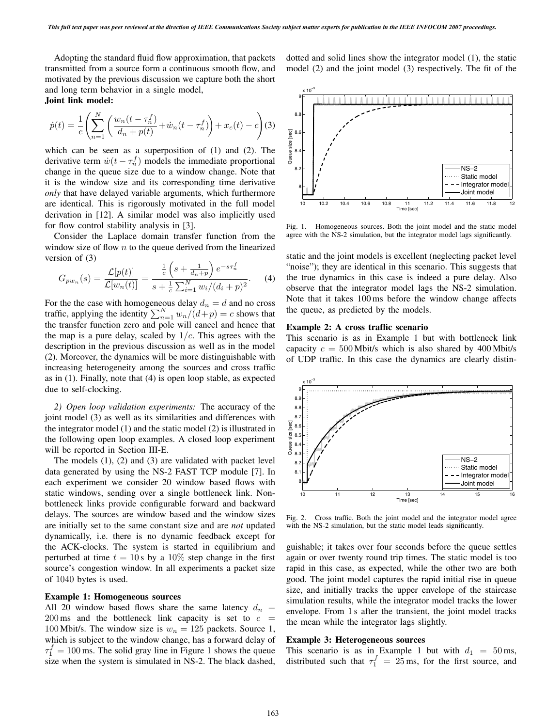Adopting the standard fluid flow approximation, that packets transmitted from a source form a continuous smooth flow, and motivated by the previous discussion we capture both the short and long term behavior in a single model, **Joint link model:**

$$
\dot{p}(t) = \frac{1}{c} \left( \sum_{n=1}^{N} \left( \frac{w_n(t - \tau_n^f)}{d_n + p(t)} + \dot{w}_n(t - \tau_n^f) \right) + x_c(t) - c \right)
$$
(3)

which can be seen as a superposition of (1) and (2). The derivative term  $\dot{w}(t - \tau_n^f)$  models the immediate proportional<br>change in the queue size due to a window change. Note that change in the queue size due to a window change. Note that it is the window size and its corresponding time derivative *only* that have delayed variable arguments, which furthermore are identical. This is rigorously motivated in the full model derivation in [12]. A similar model was also implicitly used for flow control stability analysis in [3].

Consider the Laplace domain transfer function from the window size of flow  $n$  to the queue derived from the linearized version of (3)

$$
G_{pw_n}(s) = \frac{\mathcal{L}[p(t)]}{\mathcal{L}[w_n(t)]} = \frac{\frac{1}{c}\left(s + \frac{1}{d_n + p}\right)e^{-s\tau_n^f}}{s + \frac{1}{c}\sum_{i=1}^N w_i/(d_i + p)^2}.
$$
 (4)

For the the case with homogeneous delay  $d_n = d$  and no cross traffic, applying the identity  $\sum_{n=1}^{N} w_n/(d+p) = c$  shows that<br>the transfer function zero and pole will cancel and hence that the transfer function zero and pole will cancel and hence that the map is a pure delay, scaled by  $1/c$ . This agrees with the description in the previous discussion as well as in the model (2). Moreover, the dynamics will be more distinguishable with increasing heterogeneity among the sources and cross traffic as in (1). Finally, note that (4) is open loop stable, as expected due to self-clocking.

*2) Open loop validation experiments:* The accuracy of the joint model (3) as well as its similarities and differences with the integrator model (1) and the static model (2) is illustrated in the following open loop examples. A closed loop experiment will be reported in Section III-E.

The models (1), (2) and (3) are validated with packet level data generated by using the NS-2 FAST TCP module [7]. In each experiment we consider 20 window based flows with static windows, sending over a single bottleneck link. Nonbottleneck links provide configurable forward and backward delays. The sources are window based and the window sizes are initially set to the same constant size and are *not* updated dynamically, i.e. there is no dynamic feedback except for the ACK-clocks. The system is started in equilibrium and perturbed at time  $t = 10$  s by a 10% step change in the first source's congestion window. In all experiments a packet size of 1040 bytes is used.

## **Example 1: Homogeneous sources**

All 20 window based flows share the same latency  $d_n =$  $200 \text{ ms}$  and the bottleneck link capacity is set to  $c =$ 100 Mbit/s. The window size is  $w_n = 125$  packets. Source 1, which is subject to the window change, has a forward delay of  $\tau_1^f = 100 \text{ ms}$ . The solid gray line in Figure 1 shows the queue<br>size when the system is simulated in NS-2. The black dashed size when the system is simulated in NS-2. The black dashed,

dotted and solid lines show the integrator model (1), the static model (2) and the joint model (3) respectively. The fit of the



Fig. 1. Homogeneous sources. Both the joint model and the static model agree with the NS-2 simulation, but the integrator model lags significantly.

static and the joint models is excellent (neglecting packet level "noise"); they are identical in this scenario. This suggests that the true dynamics in this case is indeed a pure delay. Also observe that the integrator model lags the NS-2 simulation. Note that it takes 100 ms before the window change affects the queue, as predicted by the models.

## **Example 2: A cross traffic scenario**

This scenario is as in Example 1 but with bottleneck link capacity  $c = 500$  Mbit/s which is also shared by 400 Mbit/s of UDP traffic. In this case the dynamics are clearly distin-



Fig. 2. Cross traffic. Both the joint model and the integrator model agree with the NS-2 simulation, but the static model leads significantly.

guishable; it takes over four seconds before the queue settles again or over twenty round trip times. The static model is too rapid in this case, as expected, while the other two are both good. The joint model captures the rapid initial rise in queue size, and initially tracks the upper envelope of the staircase simulation results, while the integrator model tracks the lower envelope. From 1 s after the transient, the joint model tracks the mean while the integrator lags slightly.

## **Example 3: Heterogeneous sources**

This scenario is as in Example 1 but with  $d_1 = 50$  ms, distributed such that  $\tau_1^f = 25$  ms, for the first source, and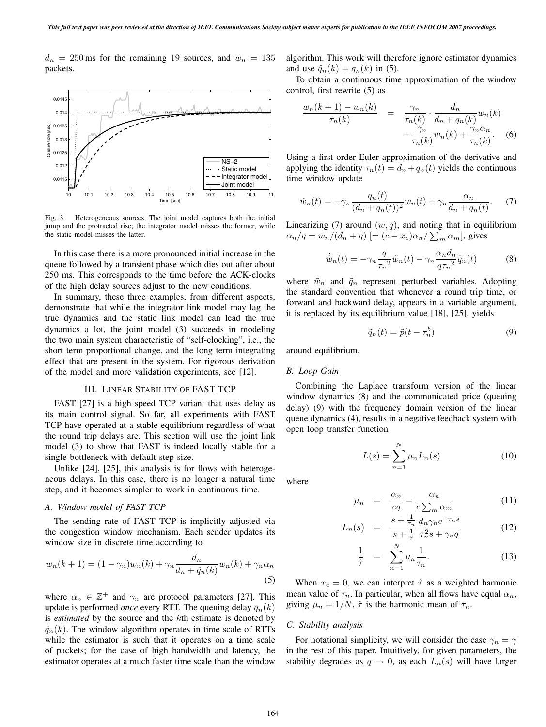$d_n = 250$  ms for the remaining 19 sources, and  $w_n = 135$ packets.



Fig. 3. Heterogeneous sources. The joint model captures both the initial jump and the protracted rise; the integrator model misses the former, while the static model misses the latter.

In this case there is a more pronounced initial increase in the queue followed by a transient phase which dies out after about 250 ms. This corresponds to the time before the ACK-clocks of the high delay sources adjust to the new conditions.

In summary, these three examples, from different aspects, demonstrate that while the integrator link model may lag the true dynamics and the static link model can lead the true dynamics a lot, the joint model (3) succeeds in modeling the two main system characteristic of "self-clocking", i.e., the short term proportional change, and the long term integrating effect that are present in the system. For rigorous derivation of the model and more validation experiments, see [12].

#### III. LINEAR STABILITY OF FAST TCP

FAST [27] is a high speed TCP variant that uses delay as its main control signal. So far, all experiments with FAST TCP have operated at a stable equilibrium regardless of what the round trip delays are. This section will use the joint link model (3) to show that FAST is indeed locally stable for a single bottleneck with default step size.

Unlike [24], [25], this analysis is for flows with heterogeneous delays. In this case, there is no longer a natural time step, and it becomes simpler to work in continuous time.

#### *A. Window model of FAST TCP*

The sending rate of FAST TCP is implicitly adjusted via the congestion window mechanism. Each sender updates its window size in discrete time according to

$$
w_n(k+1) = (1 - \gamma_n)w_n(k) + \gamma_n \frac{d_n}{d_n + \hat{q}_n(k)} w_n(k) + \gamma_n \alpha_n
$$
\n(5)

where  $\alpha_n \in \mathbb{Z}^+$  and  $\gamma_n$  are protocol parameters [27]. This update is performed *once* every RTT. The queuing delay  $q_n(k)$ is *estimated* by the source and the kth estimate is denoted by  $\hat{q}_n(k)$ . The window algorithm operates in time scale of RTTs while the estimator is such that it operates on a time scale of packets; for the case of high bandwidth and latency, the estimator operates at a much faster time scale than the window

algorithm. This work will therefore ignore estimator dynamics and use  $\hat{q}_n(k) = q_n(k)$  in (5).

To obtain a continuous time approximation of the window control, first rewrite (5) as

$$
\frac{w_n(k+1) - w_n(k)}{\tau_n(k)} = \frac{\gamma_n}{\tau_n(k)} \cdot \frac{d_n}{d_n + q_n(k)} w_n(k)
$$

$$
-\frac{\gamma_n}{\tau_n(k)} w_n(k) + \frac{\gamma_n \alpha_n}{\tau_n(k)}.
$$
(6)

Using a first order Euler approximation of the derivative and applying the identity  $\tau_n(t) = d_n + q_n(t)$  yields the continuous time window update

$$
\dot{w}_n(t) = -\gamma_n \frac{q_n(t)}{(d_n + q_n(t))^2} w_n(t) + \gamma_n \frac{\alpha_n}{d_n + q_n(t)}.
$$
 (7)

Linearizing (7) around  $(w, q)$ , and noting that in equilibrium  $\alpha_n/q = w_n/(d_n+q)$  [=  $(c-x_c)\alpha_n/\sum_m \alpha_m$ ], gives

$$
\dot{\tilde{w}}_n(t) = -\gamma_n \frac{q}{\tau_n^2} \tilde{w}_n(t) - \gamma_n \frac{\alpha_n d_n}{q \tau_n^2} \tilde{q}_n(t)
$$
 (8)

where  $\tilde{w}_n$  and  $\tilde{q}_n$  represent perturbed variables. Adopting the standard convention that whenever a round trip time, or forward and backward delay, appears in a variable argument, it is replaced by its equilibrium value [18], [25], yields

$$
\tilde{q}_n(t) = \tilde{p}(t - \tau_n^b)
$$
\n(9)

around equilibrium.

#### *B. Loop Gain*

Combining the Laplace transform version of the linear window dynamics (8) and the communicated price (queuing delay) (9) with the frequency domain version of the linear queue dynamics (4), results in a negative feedback system with open loop transfer function

$$
L(s) = \sum_{n=1}^{N} \mu_n L_n(s)
$$
 (10)

where

$$
\mu_n = \frac{\alpha_n}{cq} = \frac{\alpha_n}{c \sum_m \alpha_m} \tag{11}
$$

$$
L_n(s) = \frac{s + \frac{1}{\tau_n}}{s + \frac{1}{\tilde{\tau}}} \frac{d_n \gamma_n e^{-\tau_n s}}{\tau_n^2 s + \gamma_n q} \tag{12}
$$

$$
\frac{1}{\hat{\tau}} = \sum_{n=1}^{N} \mu_n \frac{1}{\tau_n}.
$$
\n(13)

When  $x_c = 0$ , we can interpret  $\hat{\tau}$  as a weighted harmonic mean value of  $\tau_n$ . In particular, when all flows have equal  $\alpha_n$ , giving  $\mu_n = 1/N$ ,  $\hat{\tau}$  is the harmonic mean of  $\tau_n$ .

## *C. Stability analysis*

For notational simplicity, we will consider the case  $\gamma_n = \gamma$ in the rest of this paper. Intuitively, for given parameters, the stability degrades as  $q \to 0$ , as each  $L_n(s)$  will have larger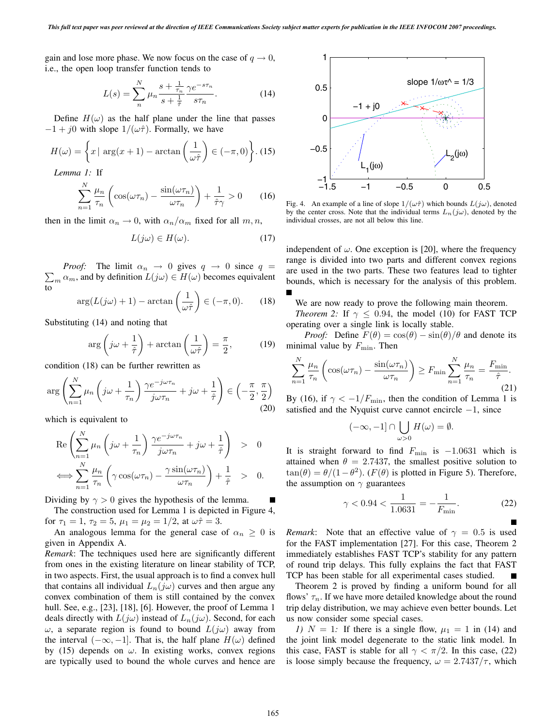gain and lose more phase. We now focus on the case of  $q \to 0$ , i.e., the open loop transfer function tends to

$$
L(s) = \sum_{n}^{N} \mu_n \frac{s + \frac{1}{\tau_n}}{s + \frac{1}{\tilde{\tau}}} \frac{\gamma e^{-s\tau_n}}{s\tau_n}.
$$
 (14)

Define  $H(\omega)$  as the half plane under the line that passes  $-1 + j0$  with slope  $1/(\omega \hat{\tau})$ . Formally, we have

$$
H(\omega) = \left\{ x \mid \arg(x+1) - \arctan\left(\frac{1}{\omega \hat{\tau}}\right) \in (-\pi, 0) \right\}.
$$
 (15)

*Lemma 1:* If

$$
\sum_{n=1}^{N} \frac{\mu_n}{\tau_n} \left( \cos(\omega \tau_n) - \frac{\sin(\omega \tau_n)}{\omega \tau_n} \right) + \frac{1}{\hat{\tau} \gamma} > 0 \qquad (16)
$$

then in the limit  $\alpha_n \to 0$ , with  $\alpha_n/\alpha_m$  fixed for all  $m, n$ ,

$$
L(j\omega) \in H(\omega). \tag{17}
$$

 $\sum_m \alpha_m$ , and by definition  $L(j\omega) \in H(\omega)$  becomes equivalent *Proof:* The limit  $\alpha_n \to 0$  gives  $q \to 0$  since  $q =$ to

$$
\arg(L(j\omega) + 1) - \arctan\left(\frac{1}{\omega \hat{\tau}}\right) \in (-\pi, 0). \tag{18}
$$

Substituting (14) and noting that

$$
\arg\left(j\omega + \frac{1}{\hat{\tau}}\right) + \arctan\left(\frac{1}{\omega\hat{\tau}}\right) = \frac{\pi}{2},\qquad(19)
$$

condition (18) can be further rewritten as

$$
\arg\left(\sum_{n=1}^{N} \mu_n \left(j\omega + \frac{1}{\tau_n}\right) \frac{\gamma e^{-j\omega \tau_n}}{j\omega \tau_n} + j\omega + \frac{1}{\hat{\tau}}\right) \in \left(-\frac{\pi}{2}, \frac{\pi}{2}\right)
$$
\n(20)

which is equivalent to

$$
\operatorname{Re}\left(\sum_{n=1}^{N}\mu_n\left(j\omega+\frac{1}{\tau_n}\right)\frac{\gamma e^{-j\omega\tau_n}}{j\omega\tau_n}+j\omega+\frac{1}{\hat{\tau}}\right) > 0
$$
  

$$
\iff \sum_{n=1}^{N}\frac{\mu_n}{\tau_n}\left(\gamma\cos(\omega\tau_n)-\frac{\gamma\sin(\omega\tau_n)}{\omega\tau_n}\right)+\frac{1}{\hat{\tau}} > 0.
$$

Dividing by  $\gamma > 0$  gives the hypothesis of the lemma.

The construction used for Lemma 1 is depicted in Figure 4, for  $\tau_1 = 1$ ,  $\tau_2 = 5$ ,  $\mu_1 = \mu_2 = 1/2$ , at  $\omega \hat{\tau} = 3$ .

An analogous lemma for the general case of  $\alpha_n \geq 0$  is given in Appendix A.

*Remark*: The techniques used here are significantly different from ones in the existing literature on linear stability of TCP, in two aspects. First, the usual approach is to find a convex hull that contains all individual  $L_n(j\omega)$  curves and then argue any convex combination of them is still contained by the convex hull. See, e.g., [23], [18], [6]. However, the proof of Lemma 1 deals directly with  $L(j\omega)$  instead of  $L_n(j\omega)$ . Second, for each ω, a separate region is found to bound  $L(jω)$  away from the interval  $(-\infty, -1]$ . That is, the half plane  $H(\omega)$  defined by (15) depends on  $\omega$ . In existing works, convex regions are typically used to bound the whole curves and hence are



Fig. 4. An example of a line of slope  $1/(\omega \hat{\tau})$  which bounds  $L(j\omega)$ , denoted by the center cross. Note that the individual terms  $L_n(j\omega)$ , denoted by the individual crosses, are not all below this line.

independent of  $\omega$ . One exception is [20], where the frequency range is divided into two parts and different convex regions are used in the two parts. These two features lead to tighter bounds, which is necessary for the analysis of this problem.

We are now ready to prove the following main theorem.

*Theorem 2:* If  $\gamma \leq 0.94$ , the model (10) for FAST TCP operating over a single link is locally stable.

*Proof:* Define  $F(\theta) = \cos(\theta) - \sin(\theta)/\theta$  and denote its minimal value by  $F_{\text{min}}$ . Then

$$
\sum_{n=1}^{N} \frac{\mu_n}{\tau_n} \left( \cos(\omega \tau_n) - \frac{\sin(\omega \tau_n)}{\omega \tau_n} \right) \ge F_{\min} \sum_{n=1}^{N} \frac{\mu_n}{\tau_n} = \frac{F_{\min}}{\hat{\tau}}.
$$
\n(21)

By (16), if  $\gamma < -1/F_{\text{min}}$ , then the condition of Lemma 1 is satisfied and the Nyquist curve cannot encircle  $-1$ , since

$$
(-\infty, -1] \cap \bigcup_{\omega > 0} H(\omega) = \emptyset.
$$

It is straight forward to find  $F_{\text{min}}$  is  $-1.0631$  which is attained when  $\theta = 2.7437$ , the smallest positive solution to  $\tan(\theta) = \theta/(1-\theta^2)$ . (F( $\theta$ ) is plotted in Figure 5). Therefore, the assumption on  $\gamma$  guarantees

$$
\gamma < 0.94 < \frac{1}{1.0631} = -\frac{1}{F_{\min}}.\tag{22}
$$

*Remark*: Note that an effective value of  $\gamma = 0.5$  is used for the FAST implementation [27]. For this case, Theorem 2 immediately establishes FAST TCP's stability for any pattern of round trip delays. This fully explains the fact that FAST TCP has been stable for all experimental cases studied.

Theorem 2 is proved by finding a uniform bound for all flows'  $\tau_n$ . If we have more detailed knowledge about the round trip delay distribution, we may achieve even better bounds. Let us now consider some special cases.

*1)*  $N = 1$ *:* If there is a single flow,  $\mu_1 = 1$  in (14) and the joint link model degenerate to the static link model. In this case, FAST is stable for all  $\gamma < \pi/2$ . In this case, (22) is loose simply because the frequency,  $\omega = 2.7437/\tau$ , which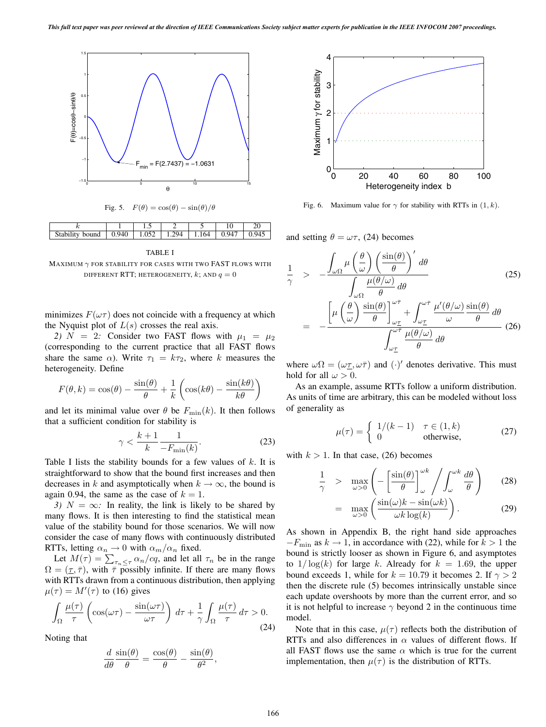







MAXIMUM  $\gamma$  FOR STABILITY FOR CASES WITH TWO FAST FLOWS WITH DIFFERENT RTT; HETEROGENEITY, k; AND  $q = 0$ 

minimizes  $F(\omega \tau)$  does not coincide with a frequency at which the Nyquist plot of  $L(s)$  crosses the real axis.

2)  $N = 2$ : Consider two FAST flows with  $\mu_1 = \mu_2$ (corresponding to the current practice that all FAST flows share the same  $\alpha$ ). Write  $\tau_1 = k\tau_2$ , where k measures the heterogeneity. Define

$$
F(\theta, k) = \cos(\theta) - \frac{\sin(\theta)}{\theta} + \frac{1}{k} \left( \cos(k\theta) - \frac{\sin(k\theta)}{k\theta} \right)
$$

and let its minimal value over  $\theta$  be  $F_{\text{min}}(k)$ . It then follows that a sufficient condition for stability is

$$
\gamma < \frac{k+1}{k} \frac{1}{-F_{\min}(k)}.\tag{23}
$$

Table I lists the stability bounds for a few values of  $k$ . It is straightforward to show that the bound first increases and then decreases in k and asymptotically when  $k \to \infty$ , the bound is again 0.94, the same as the case of  $k = 1$ .

*3)*  $N = \infty$ *:* In reality, the link is likely to be shared by many flows. It is then interesting to find the statistical mean value of the stability bound for those scenarios. We will now consider the case of many flows with continuously distributed RTTs, letting  $\alpha_n \to 0$  with  $\alpha_m/\alpha_n$  fixed.

Let  $M(\tau) = \sum_{\tau_n \leq \tau} \alpha_n / cq$ , and let all  $\tau_n$  be in the range  $-(\tau, \bar{\tau})$  with  $\bar{\tau}$  possibly infinite. If there are many flows  $\Omega=(\underline{\tau}, \overline{\tau})$ , with  $\overline{\tau}$  possibly infinite. If there are many flows with RTTs drawn from a continuous distribution, then applying  $\mu(\tau) = M'(\tau)$  to (16) gives

$$
\int_{\Omega} \frac{\mu(\tau)}{\tau} \left( \cos(\omega \tau) - \frac{\sin(\omega \tau)}{\omega \tau} \right) d\tau + \frac{1}{\gamma} \int_{\Omega} \frac{\mu(\tau)}{\tau} d\tau > 0.
$$
\n(24)

Noting that

$$
\frac{d}{d\theta}\frac{\sin(\theta)}{\theta} = \frac{\cos(\theta)}{\theta} - \frac{\sin(\theta)}{\theta^2},
$$



Fig. 6. Maximum value for  $\gamma$  for stability with RTTs in  $(1, k)$ .

and setting  $\theta = \omega \tau$ , (24) becomes

$$
\frac{1}{\gamma} > -\frac{\int_{\omega\Omega} \mu\left(\frac{\theta}{\omega}\right) \left(\frac{\sin(\theta)}{\theta}\right)' d\theta}{\int_{\omega\Omega} \frac{\mu(\theta/\omega)}{\theta} d\theta} \qquad (25)
$$
\n
$$
= -\frac{\left[\mu\left(\frac{\theta}{\omega}\right) \frac{\sin(\theta)}{\theta}\right]_{\omega_{\mathcal{I}}}^{\omega_{\mathcal{T}}} + \int_{\omega_{\mathcal{I}}}^{\omega_{\mathcal{T}}} \frac{\mu'(\theta/\omega)}{\omega} \frac{\sin(\theta)}{\theta} d\theta}{\int_{\omega_{\mathcal{I}}}^{\omega_{\mathcal{T}}} \frac{\mu(\theta/\omega)}{\theta} d\theta} \qquad (26)
$$

where  $\omega \Omega = (\omega \tau, \omega \bar{\tau})$  and  $(\cdot)'$  denotes derivative. This must<br>hold for all  $\omega > 0$ hold for all  $\omega > 0$ .

As an example, assume RTTs follow a uniform distribution. As units of time are arbitrary, this can be modeled without loss of generality as

$$
\mu(\tau) = \begin{cases} 1/(k-1) & \tau \in (1,k) \\ 0 & \text{otherwise,} \end{cases}
$$
 (27)

with  $k > 1$ . In that case, (26) becomes

$$
\frac{1}{\gamma} > \max_{\omega > 0} \left( -\left[ \frac{\sin(\theta)}{\theta} \right]_{\omega}^{\omega k} / \int_{\omega}^{\omega k} \frac{d\theta}{\theta} \right) \tag{28}
$$

$$
= \max_{\omega > 0} \left( \frac{\sin(\omega)k - \sin(\omega k)}{\omega k \log(k)} \right). \tag{29}
$$

As shown in Appendix B, the right hand side approaches  $-F_{\text{min}}$  as  $k \to 1$ , in accordance with (22), while for  $k > 1$  the bound is strictly looser as shown in Figure 6, and asymptotes to  $1/\log(k)$  for large k. Already for  $k = 1.69$ , the upper bound exceeds 1, while for  $k = 10.79$  it becomes 2. If  $\gamma > 2$ then the discrete rule (5) becomes intrinsically unstable since each update overshoots by more than the current error, and so it is not helpful to increase  $\gamma$  beyond 2 in the continuous time model.

Note that in this case,  $\mu(\tau)$  reflects both the distribution of RTTs and also differences in  $\alpha$  values of different flows. If all FAST flows use the same  $\alpha$  which is true for the current implementation, then  $\mu(\tau)$  is the distribution of RTTs.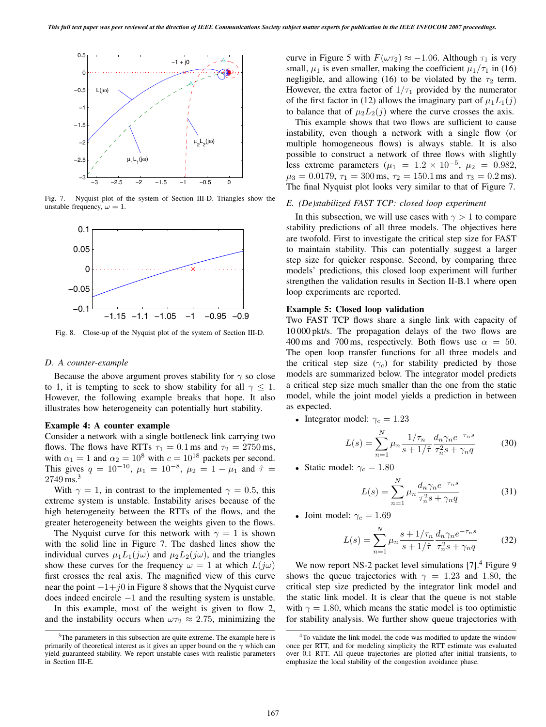

Fig. 7. Nyquist plot of the system of Section III-D. Triangles show the unstable frequency,  $\omega = 1$ .



Fig. 8. Close-up of the Nyquist plot of the system of Section III-D.

### *D. A counter-example*

Because the above argument proves stability for  $\gamma$  so close to 1, it is tempting to seek to show stability for all  $\gamma \leq 1$ . However, the following example breaks that hope. It also illustrates how heterogeneity can potentially hurt stability.

## **Example 4: A counter example**

Consider a network with a single bottleneck link carrying two flows. The flows have RTTs  $\tau_1 = 0.1$  ms and  $\tau_2 = 2750$  ms, with  $\alpha_1 = 1$  and  $\alpha_2 = 10^8$  with  $c = 10^{18}$  packets per second.<br>This gives  $a = 10^{-10}$   $\mu_1 = 10^{-8}$   $\mu_2 = 1 - \mu_1$  and  $\hat{\tau} =$ This gives  $q = 10^{-10}$ ,  $\mu_1 = 10^{-8}$ ,  $\mu_2 = 1 - \mu_1$  and  $\hat{\tau} = 2749 \text{ ms}^3$ 2749 ms.<sup>3</sup>

With  $\gamma = 1$ , in contrast to the implemented  $\gamma = 0.5$ , this extreme system is unstable. Instability arises because of the high heterogeneity between the RTTs of the flows, and the greater heterogeneity between the weights given to the flows.

The Nyquist curve for this network with  $\gamma = 1$  is shown with the solid line in Figure 7. The dashed lines show the individual curves  $\mu_1 L_1(j\omega)$  and  $\mu_2 L_2(j\omega)$ , and the triangles show these curves for the frequency  $\omega = 1$  at which  $L(j\omega)$ first crosses the real axis. The magnified view of this curve near the point  $-1+j0$  in Figure 8 shows that the Nyquist curve does indeed encircle <sup>−</sup>1 and the resulting system is unstable.

In this example, most of the weight is given to flow 2, and the instability occurs when  $\omega \tau_2 \approx 2.75$ , minimizing the curve in Figure 5 with  $F(\omega \tau_2) \approx -1.06$ . Although  $\tau_1$  is very small,  $\mu_1$  is even smaller, making the coefficient  $\mu_1/\tau_1$  in (16) negligible, and allowing (16) to be violated by the  $\tau_2$  term. However, the extra factor of  $1/\tau_1$  provided by the numerator of the first factor in (12) allows the imaginary part of  $\mu_1L_1(j)$ to balance that of  $\mu_2 L_2(j)$  where the curve crosses the axis.

This example shows that two flows are sufficient to cause instability, even though a network with a single flow (or multiple homogeneous flows) is always stable. It is also possible to construct a network of three flows with slightly less extreme parameters ( $\mu_1 = 1.2 \times 10^{-5}$ ,  $\mu_2 = 0.982$ ,  $\mu_3 = 0.0179$ ,  $\tau_1 = 300$  ms,  $\tau_2 = 150.1$  ms and  $\tau_3 = 0.2$  ms). The final Nyquist plot looks very similar to that of Figure 7.

## *E. (De)stabilized FAST TCP: closed loop experiment*

In this subsection, we will use cases with  $\gamma > 1$  to compare stability predictions of all three models. The objectives here are twofold. First to investigate the critical step size for FAST to maintain stability. This can potentially suggest a larger step size for quicker response. Second, by comparing three models' predictions, this closed loop experiment will further strengthen the validation results in Section II-B.1 where open loop experiments are reported.

#### **Example 5: Closed loop validation**

Two FAST TCP flows share a single link with capacity of 10 000 pkt/s. The propagation delays of the two flows are 400 ms and 700 ms, respectively. Both flows use  $\alpha = 50$ . The open loop transfer functions for all three models and the critical step size ( $\gamma_c$ ) for stability predicted by those models are summarized below. The integrator model predicts a critical step size much smaller than the one from the static model, while the joint model yields a prediction in between as expected.

• Integrator model:  $\gamma_c = 1.23$ 

$$
L(s) = \sum_{n=1}^{N} \mu_n \frac{1/\tau_n}{s + 1/\hat{\tau}} \frac{d_n \gamma_n e^{-\tau_n s}}{\tau_n^2 s + \gamma_n q}
$$
(30)

• Static model:  $\gamma_c = 1.80$ 

$$
L(s) = \sum_{n=1}^{N} \mu_n \frac{d_n \gamma_n e^{-\tau_n s}}{\tau_n^2 s + \gamma_n q}
$$
(31)

• Joint model:  $\gamma_c = 1.69$ 

$$
L(s) = \sum_{n=1}^{N} \mu_n \frac{s + 1/\tau_n}{s + 1/\hat{\tau}} \frac{d_n \gamma_n e^{-\tau_n s}}{\tau_n^2 s + \gamma_n q} \tag{32}
$$

We now report NS-2 packet level simulations [7].<sup>4</sup> Figure 9 shows the queue trajectories with  $\gamma = 1.23$  and 1.80, the critical step size predicted by the integrator link model and the static link model. It is clear that the queue is not stable with  $\gamma = 1.80$ , which means the static model is too optimistic for stability analysis. We further show queue trajectories with

<sup>&</sup>lt;sup>3</sup>The parameters in this subsection are quite extreme. The example here is primarily of theoretical interest as it gives an upper bound on the  $\gamma$  which can yield guaranteed stability. We report unstable cases with realistic parameters in Section III-E.

<sup>&</sup>lt;sup>4</sup>To validate the link model, the code was modified to update the window once per RTT, and for modeling simplicity the RTT estimate was evaluated over 0.1 RTT. All queue trajectories are plotted after initial transients, to emphasize the local stability of the congestion avoidance phase.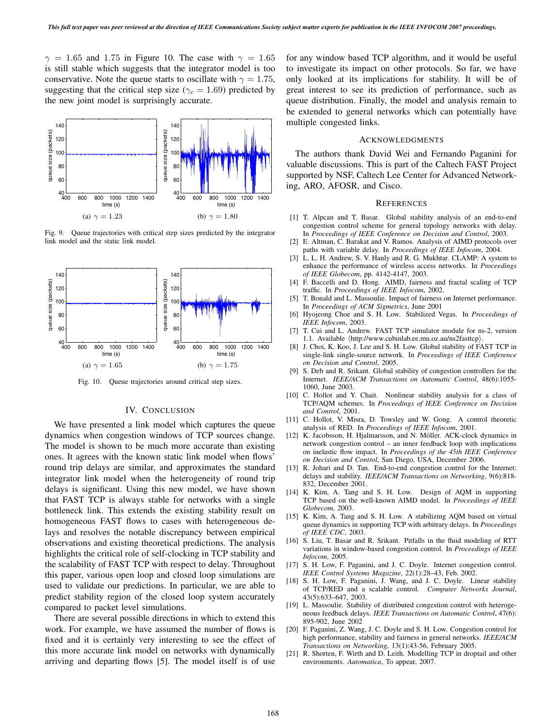$\gamma = 1.65$  and 1.75 in Figure 10. The case with  $\gamma = 1.65$ is still stable which suggests that the integrator model is too conservative. Note the queue starts to oscillate with  $\gamma = 1.75$ , suggesting that the critical step size ( $\gamma_c = 1.69$ ) predicted by the new joint model is surprisingly accurate.



Fig. 9. Queue trajectories with critical step sizes predicted by the integrator link model and the static link model.



Fig. 10. Queue trajectories around critical step sizes.

# IV. CONCLUSION

We have presented a link model which captures the queue dynamics when congestion windows of TCP sources change. The model is shown to be much more accurate than existing ones. It agrees with the known static link model when flows' round trip delays are similar, and approximates the standard integrator link model when the heterogeneity of round trip delays is significant. Using this new model, we have shown that FAST TCP is always stable for networks with a single bottleneck link. This extends the existing stability result on homogeneous FAST flows to cases with heterogeneous delays and resolves the notable discrepancy between empirical observations and existing theoretical predictions. The analysis highlights the critical role of self-clocking in TCP stability and the scalability of FAST TCP with respect to delay. Throughout this paper, various open loop and closed loop simulations are used to validate our predictions. In particular, we are able to predict stability region of the closed loop system accurately compared to packet level simulations.

There are several possible directions in which to extend this work. For example, we have assumed the number of flows is fixed and it is certainly very interesting to see the effect of this more accurate link model on networks with dynamically arriving and departing flows [5]. The model itself is of use

for any window based TCP algorithm, and it would be useful to investigate its impact on other protocols. So far, we have only looked at its implications for stability. It will be of great interest to see its prediction of performance, such as queue distribution. Finally, the model and analysis remain to be extended to general networks which can potentially have multiple congested links.

#### ACKNOWLEDGMENTS

The authors thank David Wei and Fernando Paganini for valuable discussions. This is part of the Caltech FAST Project supported by NSF, Caltech Lee Center for Advanced Networking, ARO, AFOSR, and Cisco.

#### **REFERENCES**

- [1] T. Alpcan and T. Basar. Global stability analysis of an end-to-end congestion control scheme for general topology networks with delay. In *Proceedings of IEEE Conference on Decision and Control*, 2003.
- [2] E. Altman, C. Barakat and V. Ramos. Analysis of AIMD protocols over paths with variable delay. In *Proceedings of IEEE Infocom*, 2004.
- [3] L. L. H. Andrew, S. V. Hanly and R. G. Mukhtar. CLAMP: A system to enhance the performance of wireless access networks. In *Proceedings of IEEE Globecom*, pp. 4142-4147, 2003.
- [4] F. Baccelli and D. Hong. AIMD, fairness and fractal scaling of TCP traffic. In *Proceedings of IEEE Infocom*, 2002.
- [5] T. Bonald and L. Massoulie. Impact of fairness on Internet performance. In *Proceedings of ACM Sigmetrics*, June 2001
- [6] Hyojeong Choe and S. H. Low. Stabilized Vegas. In *Proceedings of IEEE Infocom*, 2003.
- [7] T. Cui and L. Andrew. FAST TCP simulator module for ns-2, version 1.1. Available  $\langle$ http://www.cubinlab.ee.mu.oz.au/ns2fasttcp $\rangle$ .
- [8] J. Choi, K. Koo, J. Lee and S. H. Low. Global stability of FAST TCP in single-link single-source network. In *Proceedings of IEEE Conference on Decision and Control*, 2005.
- [9] S. Deb and R. Srikant. Global stability of congestion controllers for the Internet. *IEEE/ACM Transactions on Automatic Control*, 48(6):1055- 1060, June 2003.
- [10] C. Hollot and Y. Chait. Nonlinear stability analysis for a class of TCP/AQM schemes. In *Proceedings of IEEE Conference on Decision and Control*, 2001.
- [11] C. Hollot, V. Misra, D. Towsley and W. Gong. A control theoretic analysis of RED. In *Proceedings of IEEE Infocom*, 2001.
- [12] K. Jacobsson, H. Hjalmarsson, and N. Möller. ACK-clock dynamics in network congestion control – an inner feedback loop with implications on inelastic flow impact. In *Proceedings of the 45th IEEE Conference on Decision and Control*, San Diego, USA, December 2006.
- [13] R. Johari and D. Tan. End-to-end congestion control for the Internet: delays and stability. *IEEE/ACM Transactions on Networking*, 9(6):818- 832, December 2001.
- [14] K. Kim, A. Tang and S. H. Low. Design of AQM in supporting TCP based on the well-known AIMD model. In *Proceedings of IEEE Globecom*, 2003.
- [15] K. Kim, A. Tang and S. H. Low. A stabilizing AQM based on virtual queue dynamics in supporting TCP with arbitrary delays. In *Proceedings of IEEE CDC*, 2003.
- [16] S. Liu, T. Basar and R. Srikant. Pitfalls in the fluid modeling of RTT variations in window-based congestion control. In *Proceedings of IEEE Infocom*, 2005.
- [17] S. H. Low, F. Paganini, and J. C. Doyle. Internet congestion control. *IEEE Control Systems Magazine*, 22(1):28–43, Feb. 2002.
- [18] S. H. Low, F. Paganini, J. Wang, and J. C. Doyle. Linear stability of TCP/RED and a scalable control. *Computer Networks Journal*, 43(5):633–647, 2003.
- [19] L. Massoulie. Stability of distributed congestion control with heterogeneous feedback delays. *IEEE Transactions on Automatic Control*, 47(6): 895-902, June 2002
- [20] F. Paganini, Z. Wang, J. C. Doyle and S. H. Low. Congestion control for high performance, stability and fairness in general networks. *IEEE/ACM Transactions on Networking*, 13(1):43-56, February 2005.
- [21] R. Shorten, F. Wirth and D. Leith. Modelling TCP in droptail and other environments. *Automatica*, To appear, 2007.